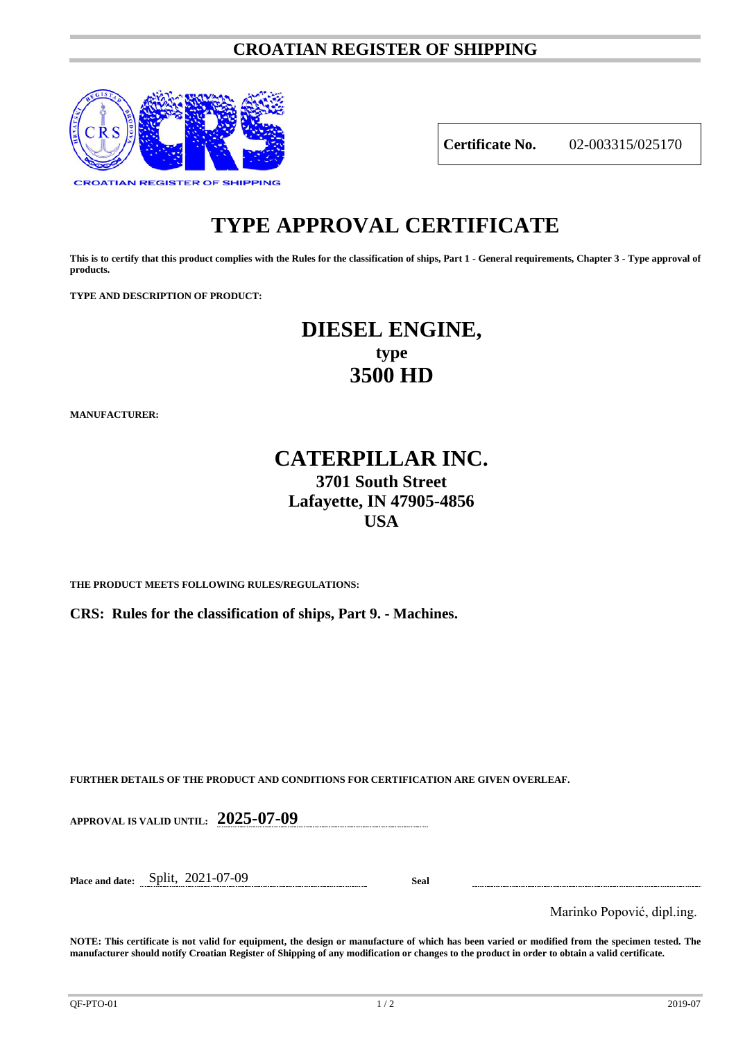### **CROATIAN REGISTER OF SHIPPING**



**Certificate No.** 02-003315/025170

# **TYPE APPROVAL CERTIFICATE**

**This is to certify that this product complies with the Rules for the classification of ships, Part 1 - General requirements, Chapter 3 - Type approval of products.**

**TYPE AND DESCRIPTION OF PRODUCT:** 

## **DIESEL ENGINE, type 3500 HD**

**MANUFACTURER:**

## **CATERPILLAR INC. 3701 South Street Lafayette, IN 47905-4856 USA**

**THE PRODUCT MEETS FOLLOWING RULES/REGULATIONS:**

**CRS: Rules for the classification of ships, Part 9. - Machines.**

**FURTHER DETAILS OF THE PRODUCT AND CONDITIONS FOR CERTIFICATION ARE GIVEN OVERLEAF.**

**APPROVAL IS VALID UNTIL: 2025-07-09**

**Place and date:** Split, 2021-07-09 **Seal**

Marinko Popović, dipl.ing.

**NOTE: This certificate is not valid for equipment, the design or manufacture of which has been varied or modified from the specimen tested. The manufacturer should notify Croatian Register of Shipping of any modification or changes to the product in order to obtain a valid certificate.**